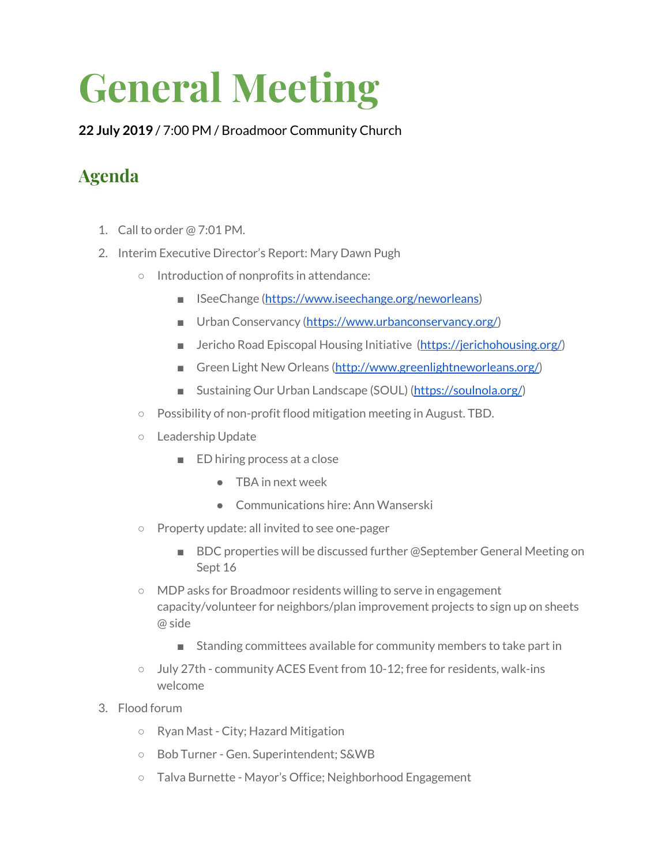## **General Meeting**

**22 July 2019** / 7:00 PM / Broadmoor Community Church

## **Agenda**

- 1. Call to order @ 7:01 PM.
- 2. Interim Executive Director's Report: Mary Dawn Pugh
	- Introduction of nonprofits in attendance:
		- ISeeChange ([https://www.iseechange.org/neworleans\)](https://www.iseechange.org/neworleans)
		- Urban Conservancy [\(https://www.urbanconservancy.org/\)](https://www.urbanconservancy.org/)
		- Jericho Road Episcopal Housing Initiative (<https://jerichohousing.org/>)
		- Green Light New Orleans ([http://www.greenlightneworleans.org/\)](http://www.greenlightneworleans.org/)
		- Sustaining Our Urban Landscape (SOUL) [\(https://soulnola.org/](https://soulnola.org/))
	- Possibility of non-profit flood mitigation meeting in August. TBD.
	- Leadership Update
		- ED hiring process at a close
			- TBA in next week
			- Communications hire: Ann Wanserski
	- Property update: all invited to see one-pager
		- BDC properties will be discussed further @September General Meeting on Sept 16
	- MDP asks for Broadmoor residents willing to serve in engagement capacity/volunteer for neighbors/plan improvement projects to sign up on sheets @ side
		- Standing committees available for community members to take part in
	- July 27th community ACES Event from 10-12; free for residents, walk-ins welcome
- 3. Flood forum
	- Ryan Mast City; Hazard Mitigation
	- Bob Turner Gen. Superintendent; S&WB
	- Talva Burnette Mayor's Office; Neighborhood Engagement